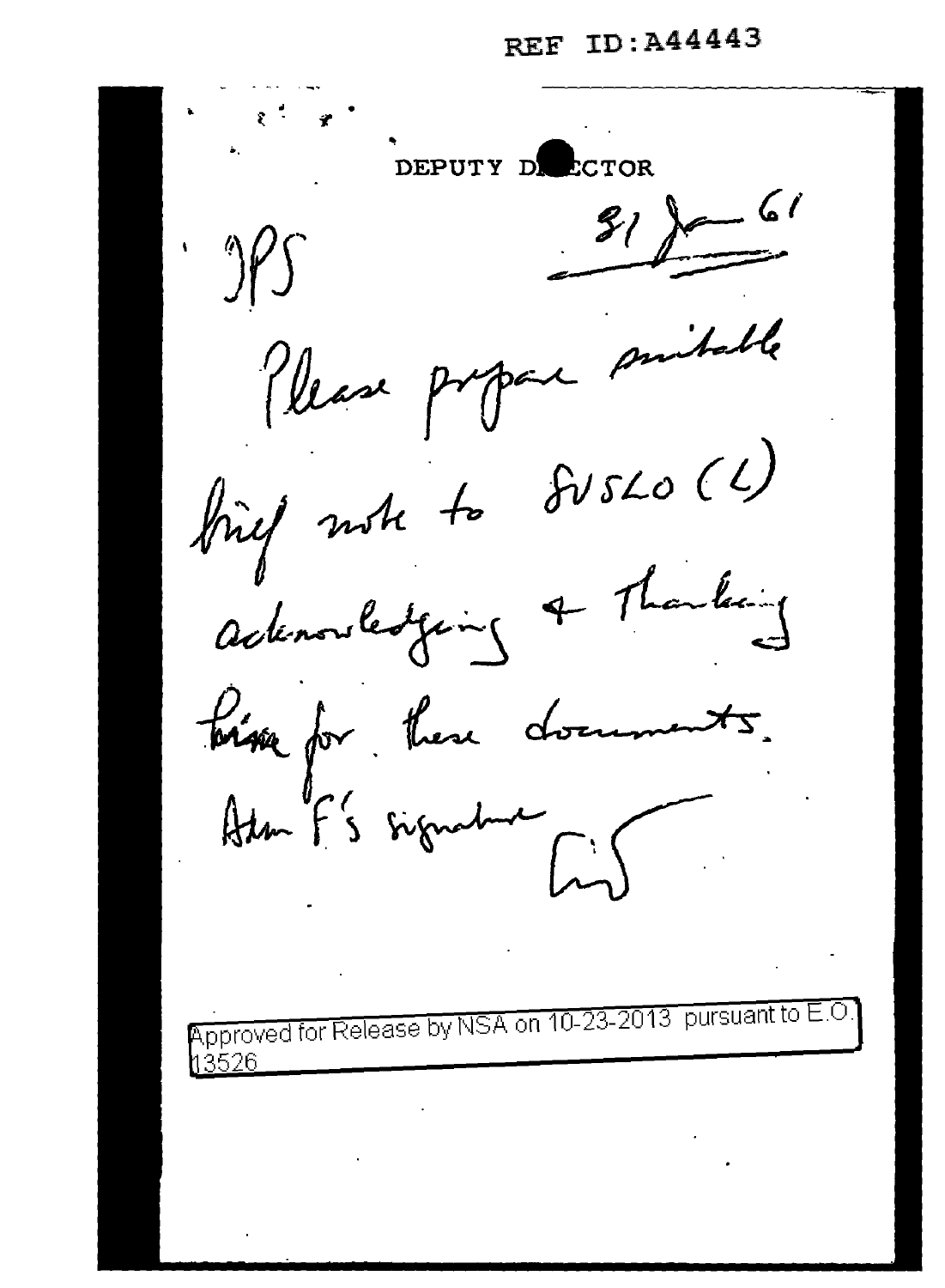REF ID: A44443

DEPUTY DE ECTOR  $31$  for 61 table Please propone finef note to SVSLO (1) adenouledging & Thanking bisse for these documents.

Approved for Release by NSA on 10-23-2013 pursuant to E. 13526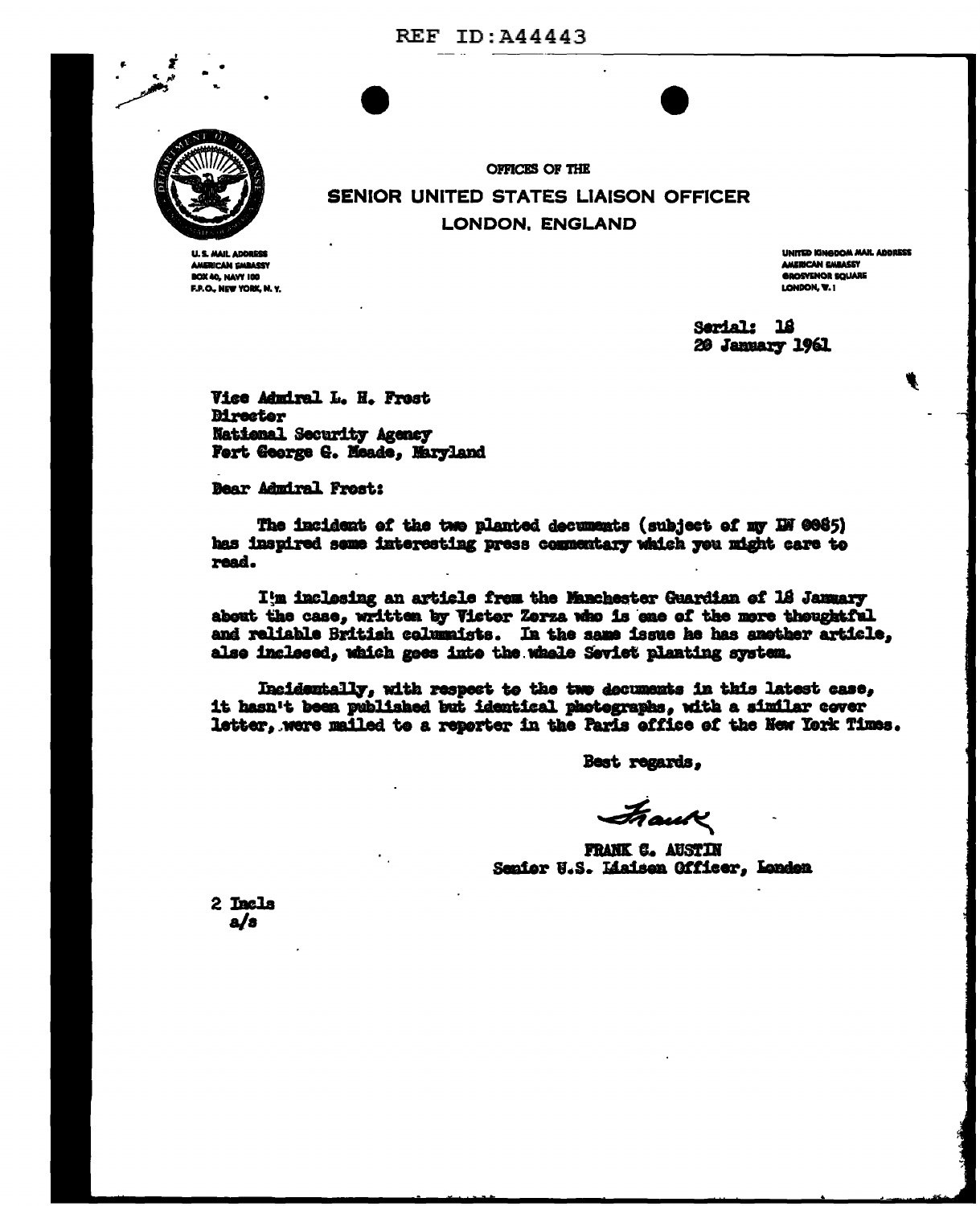

AMERICAN EMBASSY BOX 40, NAVY 100 F.P.O., NEW YORK, N.Y. **SENIOR UNITED STATES LIAISON OFFICER LONDON. ENGLAND** 

**OFFICES OF THE** 

**UNITED KINGDOM MAIL ADDRESS** AMERICAN EMBASSY **GROSYENOR SOUARE** LONDON, W. I

Serial: 18 20 January 1961

Vice Admiral L. H. Frest **Mrecter** National Security Agency Fert George G. Meade, Maryland

**Bear Admiral Frost:** 

The incident of the two planted decuments (subject of my IN 0085) has inspired some interesting press commentary which you might care to read.

I'm inclosing an article from the Manchester Guardian of 18 January about the case, written by Victor Zorza who is ene of the more thoughtful and reliable British columnists. In the same issue he has another article, alse inclesed, which goes into the whale Seviet planting system.

Incidentally, with respect to the two documents in this latest case, it hasn't been published but identical photographs, with a similar cover letter, were mailed to a reporter in the Paris office of the New York Times.

Best regards,

Frank

**FRANK C. AUSTIN** Senior U.S. Liaisen Officer, London

2 Incls  $a/s$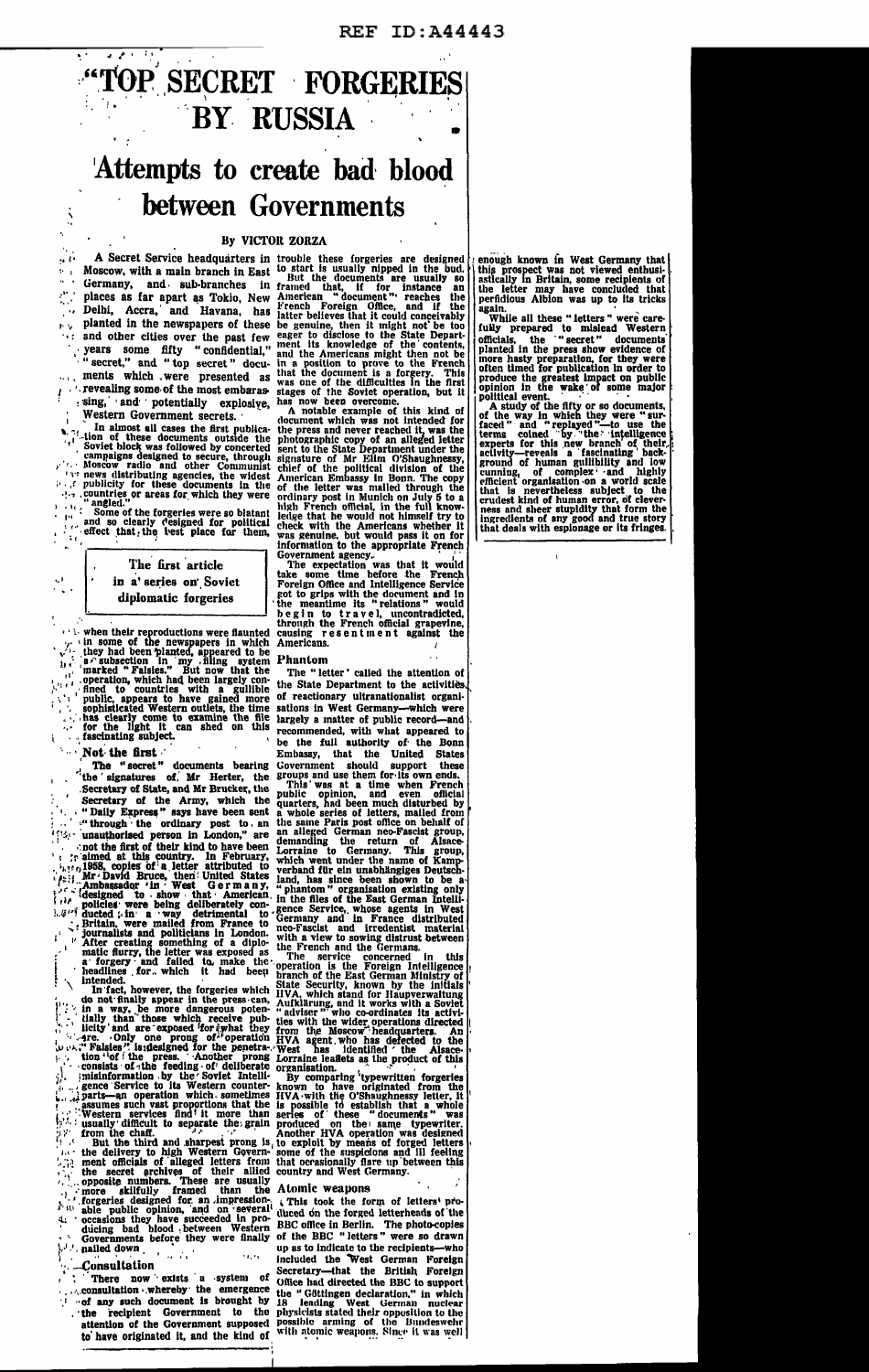

and other cities over the past few<br>search of the past few<br>vears some fifty "confidential,"<br>"secret," and "top secret" docu-<br>ments which , were presented as<br>revealing some of the most embarassing, and potentially explosive,

Western Government secrets. Western Government secrets.<br>
1. In almost all cases the first publication of these documents outside the<br>
1. Soviet block was followed by concerted<br>
1. Soviet block was followed by concerted<br>
1. Moscow radio and other Comm

when their reproductions were flaunted<br>the vine of the newspapers in which<br>they had been planted, appeared to be<br>a compared to be<br>a constraint in the set of the planted, appeared to be<br>next of Falsies." But now that the<br>op  $\overline{\mathcal{L}}$ 

Not the first

The "secret" documents bearing<br>
the "secret" documents bearing<br>
the "secret" documents bearing<br>
the "secretary of the Army, which the<br>
"Daily Express" says have been sent<br>
"through the ordinary post to, an<br>
"unauthorised The "secret" documents bearing  $\mathbb{R}^{n}$ ÙН. مدنآ  $\mathbb{E}[\mathcal{G}^{(i)}]$ intended.

neadures for. which it had been<br>intended. In fact, however, the forgeries which<br>do not finally appear in the press can,<br>in a way, be more dangerous poten-<br>ially than those which receive pub-<br>licity and are exposed for swha

Western service the grain  $\mu$  is<br>usually difficult to separate the grain  $\mu$ .<br>from the chaff. An<br>But the third and sharpest prong is to<br>the delivery to high Western Govern-source<br>ment officials of alleged letters from t 41

 $\mathcal{L}$  and  $\mathcal{L}$ 

*Consultation* 

 $^{\prime}$  exists a system There now

consultation whereby the emergence<br>of any such document is brought by

the recipient Government to the<br>attention of the Government supposed to have originated it, and the kind of

Phantom

The "letter' called the attention of the State Department to the activities reactionary ultranationalist organiof of reactionary ultranationalist organi-<br>
reactions in West Germany—which were<br>
largely a matter of public record—and<br>
recommended, with what appeared to<br>
be the full authority of the Bonn<br>
Embassy, that the United States<br> sations in West Germany-which were<br>largely a matter of public record-and

Atomic weapons

of

This took the form of letters' produced on the forged letterheads of the BBC office in Berlin. The photo-copies<br>of the BBC "letters" were so drawn or the BBC "letters" were so drawn<br>top as to indicate to the recipients—who<br>included the West German Foreign<br>Secretary—that the British Foreign<br>Office had directed the BBC to support<br>the "Göttingen declaration," in which<br>I the counting west German nuclear<br>physicists stated their opposition to the<br>possible arming of the Bundeswehr<br>with atomic weapons. Singe it was well enough known in West Germany that<br>this prospect was not viewed enthusi-<br>astically in Britain, some recipients of<br>the letter may have concluded that<br>peridious Albion was up to its tricks

signal was up to us tricks<br>
While all these "letters" were care-<br>
fully prepared to mislead Western<br>
officials, the "secret" documents<br>
planted in the press show evidence of<br>
more hasty preparation, for they were<br>
produce

political event. A study of the fifty or so documents,<br>political event. A study of the fifty or so documents,<br>of the way in which they were "sur-<br>faced" and "replayed"—to use the<br>iterms coined by "the "intelligence<br>experts